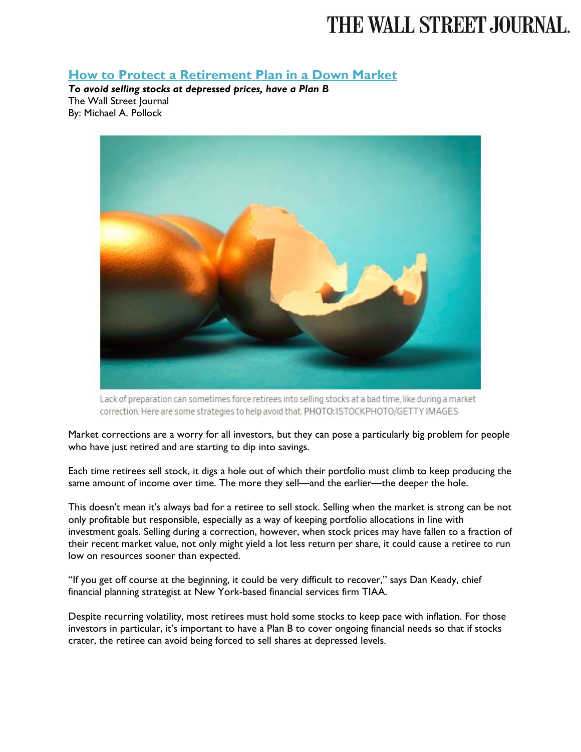## THE WALL STREET JOURNAL.

## **[How to Protect a Retirement Plan in a Down Market](https://www.wsj.com/articles/how-to-protect-a-retirement-plan-in-a-down-market-1524449161?mod=searchresults&page=1&pos=1)**

*To avoid selling stocks at depressed prices, have a Plan B* The Wall Street Journal By: Michael A. Pollock



Lack of preparation can sometimes force retirees into selling stocks at a bad time, like during a market correction. Here are some strategies to help avoid that. PHOTO: ISTOCKPHOTO/GETTY IMAGES

Market corrections are a worry for all investors, but they can pose a particularly big problem for people who have just retired and are starting to dip into savings.

Each time retirees sell stock, it digs a hole out of which their portfolio must climb to keep producing the same amount of income over time. The more they sell—and the earlier—the deeper the hole.

This doesn't mean it's always bad for a retiree to sell stock. Selling when the market is strong can be not only profitable but responsible, especially as a way of keeping portfolio allocations in line with investment goals. Selling during a correction, however, when stock prices may have fallen to a fraction of their recent market value, not only might yield a lot less return per share, it could cause a retiree to run low on resources sooner than expected.

"If you get off course at the beginning, it could be very difficult to recover," says Dan Keady, chief financial planning strategist at New York-based financial services firm TIAA.

Despite recurring volatility, most retirees must hold some stocks to keep pace with inflation. For those investors in particular, it's important to have a Plan B to cover ongoing financial needs so that if stocks crater, the retiree can avoid being forced to sell shares at depressed levels.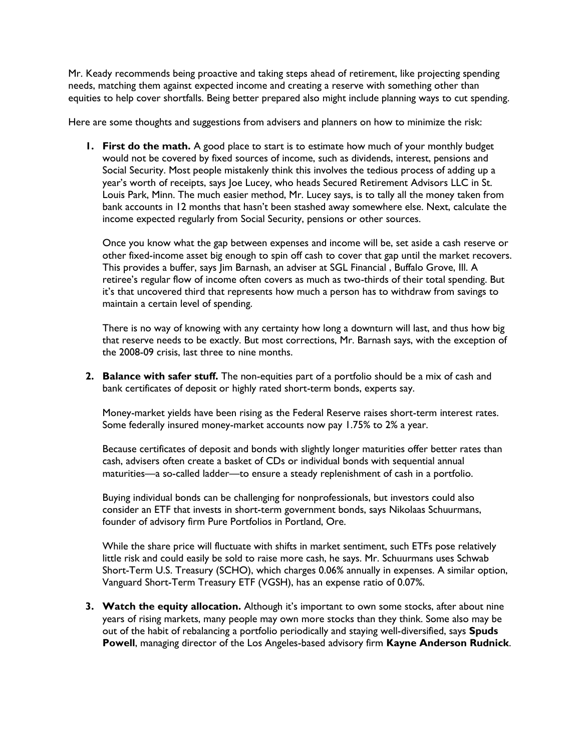Mr. Keady recommends being proactive and taking steps ahead of retirement, like projecting spending needs, matching them against expected income and creating a reserve with something other than equities to help cover shortfalls. Being better prepared also might include planning ways to cut spending.

Here are some thoughts and suggestions from advisers and planners on how to minimize the risk:

**1. First do the math.** A good place to start is to estimate how much of your monthly budget would not be covered by fixed sources of income, such as dividends, interest, pensions and Social Security. Most people mistakenly think this involves the tedious process of adding up a year's worth of receipts, says Joe Lucey, who heads Secured Retirement Advisors LLC in St. Louis Park, Minn. The much easier method, Mr. Lucey says, is to tally all the money taken from bank accounts in 12 months that hasn't been stashed away somewhere else. Next, calculate the income expected regularly from Social Security, pensions or other sources.

Once you know what the gap between expenses and income will be, set aside a cash reserve or other fixed-income asset big enough to spin off cash to cover that gap until the market recovers. This provides a buffer, says Jim Barnash, an adviser at SGL Financial , Buffalo Grove, Ill. A retiree's regular flow of income often covers as much as two-thirds of their total spending. But it's that uncovered third that represents how much a person has to withdraw from savings to maintain a certain level of spending.

There is no way of knowing with any certainty how long a downturn will last, and thus how big that reserve needs to be exactly. But most corrections, Mr. Barnash says, with the exception of the 2008-09 crisis, last three to nine months.

**2. Balance with safer stuff.** The non-equities part of a portfolio should be a mix of cash and bank certificates of deposit or highly rated short-term bonds, experts say.

Money-market yields have been rising as the Federal Reserve raises short-term interest rates. Some federally insured money-market accounts now pay 1.75% to 2% a year.

Because certificates of deposit and bonds with slightly longer maturities offer better rates than cash, advisers often create a basket of CDs or individual bonds with sequential annual maturities—a so-called ladder—to ensure a steady replenishment of cash in a portfolio.

Buying individual bonds can be challenging for nonprofessionals, but investors could also consider an ETF that invests in short-term government bonds, says Nikolaas Schuurmans, founder of advisory firm Pure Portfolios in Portland, Ore.

While the share price will fluctuate with shifts in market sentiment, such ETFs pose relatively little risk and could easily be sold to raise more cash, he says. Mr. Schuurmans uses Schwab Short-Term U.S. Treasury (SCHO), which charges 0.06% annually in expenses. A similar option, Vanguard Short-Term Treasury ETF (VGSH), has an expense ratio of 0.07%.

**3. Watch the equity allocation.** Although it's important to own some stocks, after about nine years of rising markets, many people may own more stocks than they think. Some also may be out of the habit of rebalancing a portfolio periodically and staying well-diversified, says **Spuds Powell**, managing director of the Los Angeles-based advisory firm **Kayne Anderson Rudnick**.